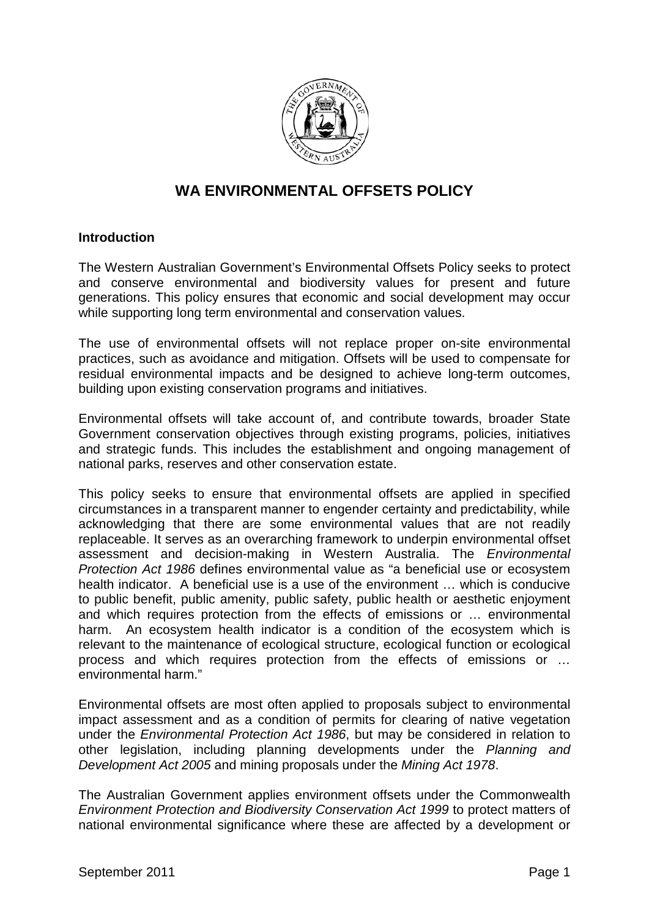

# **WA ENVIRONMENTAL OFFSETS POLICY**

#### **Introduction**

The Western Australian Government's Environmental Offsets Policy seeks to protect and conserve environmental and biodiversity values for present and future generations. This policy ensures that economic and social development may occur while supporting long term environmental and conservation values.

The use of environmental offsets will not replace proper on-site environmental practices, such as avoidance and mitigation. Offsets will be used to compensate for residual environmental impacts and be designed to achieve long-term outcomes, building upon existing conservation programs and initiatives.

Environmental offsets will take account of, and contribute towards, broader State Government conservation objectives through existing programs, policies, initiatives and strategic funds. This includes the establishment and ongoing management of national parks, reserves and other conservation estate.

This policy seeks to ensure that environmental offsets are applied in specified circumstances in a transparent manner to engender certainty and predictability, while acknowledging that there are some environmental values that are not readily replaceable. It serves as an overarching framework to underpin environmental offset assessment and decision-making in Western Australia. The *Environmental Protection Act 1986* defines environmental value as "a beneficial use or ecosystem health indicator. A beneficial use is a use of the environment … which is conducive to public benefit, public amenity, public safety, public health or aesthetic enjoyment and which requires protection from the effects of emissions or … environmental harm. An ecosystem health indicator is a condition of the ecosystem which is relevant to the maintenance of ecological structure, ecological function or ecological process and which requires protection from the effects of emissions or … environmental harm."

Environmental offsets are most often applied to proposals subject to environmental impact assessment and as a condition of permits for clearing of native vegetation under the *Environmental Protection Act 1986*, but may be considered in relation to other legislation, including planning developments under the *Planning and Development Act 2005* and mining proposals under the *Mining Act 1978*.

The Australian Government applies environment offsets under the Commonwealth *Environment Protection and Biodiversity Conservation Act 1999* to protect matters of national environmental significance where these are affected by a development or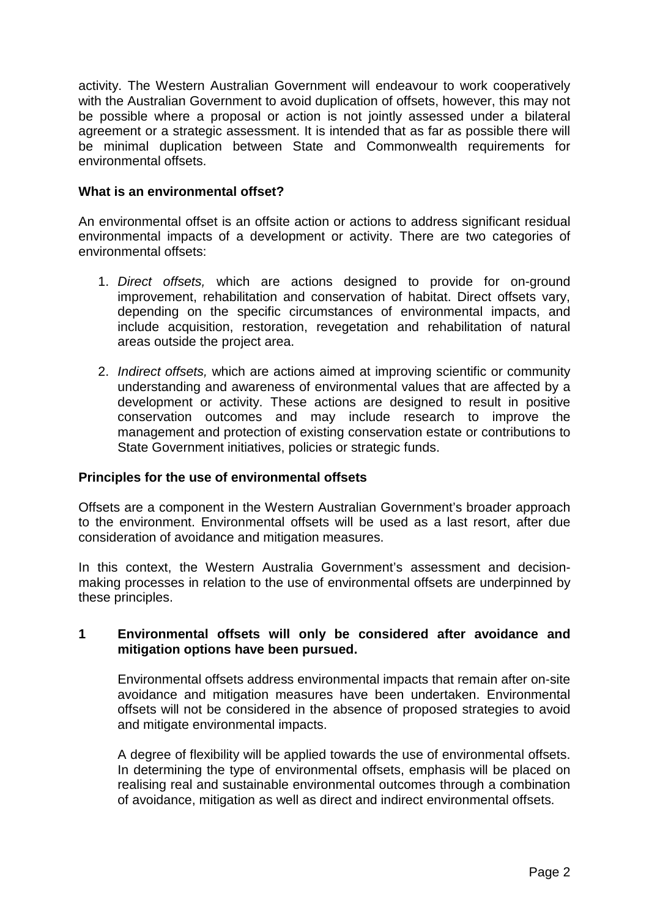activity. The Western Australian Government will endeavour to work cooperatively with the Australian Government to avoid duplication of offsets, however, this may not be possible where a proposal or action is not jointly assessed under a bilateral agreement or a strategic assessment. It is intended that as far as possible there will be minimal duplication between State and Commonwealth requirements for environmental offsets.

# **What is an environmental offset?**

An environmental offset is an offsite action or actions to address significant residual environmental impacts of a development or activity. There are two categories of environmental offsets:

- 1. *Direct offsets,* which are actions designed to provide for on-ground improvement, rehabilitation and conservation of habitat. Direct offsets vary, depending on the specific circumstances of environmental impacts, and include acquisition, restoration, revegetation and rehabilitation of natural areas outside the project area.
- 2. *Indirect offsets,* which are actions aimed at improving scientific or community understanding and awareness of environmental values that are affected by a development or activity. These actions are designed to result in positive conservation outcomes and may include research to improve the management and protection of existing conservation estate or contributions to State Government initiatives, policies or strategic funds.

### **Principles for the use of environmental offsets**

Offsets are a component in the Western Australian Government's broader approach to the environment. Environmental offsets will be used as a last resort, after due consideration of avoidance and mitigation measures.

In this context, the Western Australia Government's assessment and decisionmaking processes in relation to the use of environmental offsets are underpinned by these principles.

### **1 Environmental offsets will only be considered after avoidance and mitigation options have been pursued.**

Environmental offsets address environmental impacts that remain after on-site avoidance and mitigation measures have been undertaken. Environmental offsets will not be considered in the absence of proposed strategies to avoid and mitigate environmental impacts.

A degree of flexibility will be applied towards the use of environmental offsets. In determining the type of environmental offsets, emphasis will be placed on realising real and sustainable environmental outcomes through a combination of avoidance, mitigation as well as direct and indirect environmental offsets.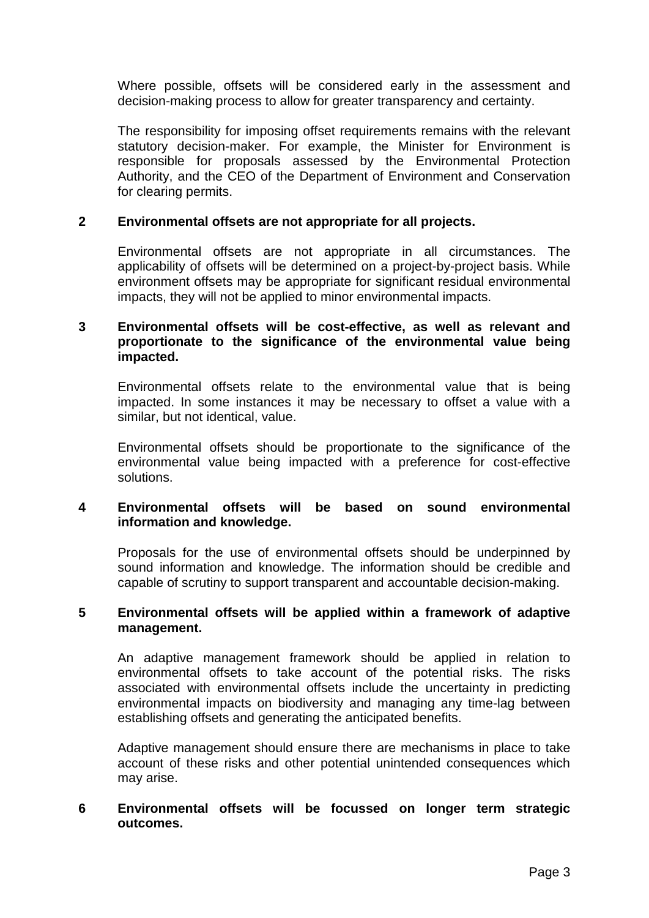Where possible, offsets will be considered early in the assessment and decision-making process to allow for greater transparency and certainty.

The responsibility for imposing offset requirements remains with the relevant statutory decision-maker. For example, the Minister for Environment is responsible for proposals assessed by the Environmental Protection Authority, and the CEO of the Department of Environment and Conservation for clearing permits.

### **2 Environmental offsets are not appropriate for all projects.**

Environmental offsets are not appropriate in all circumstances. The applicability of offsets will be determined on a project-by-project basis. While environment offsets may be appropriate for significant residual environmental impacts, they will not be applied to minor environmental impacts.

### **3 Environmental offsets will be cost-effective, as well as relevant and proportionate to the significance of the environmental value being impacted.**

Environmental offsets relate to the environmental value that is being impacted. In some instances it may be necessary to offset a value with a similar, but not identical, value.

Environmental offsets should be proportionate to the significance of the environmental value being impacted with a preference for cost-effective solutions.

# **4 Environmental offsets will be based on sound environmental information and knowledge.**

Proposals for the use of environmental offsets should be underpinned by sound information and knowledge. The information should be credible and capable of scrutiny to support transparent and accountable decision-making.

#### **5 Environmental offsets will be applied within a framework of adaptive management.**

An adaptive management framework should be applied in relation to environmental offsets to take account of the potential risks. The risks associated with environmental offsets include the uncertainty in predicting environmental impacts on biodiversity and managing any time-lag between establishing offsets and generating the anticipated benefits.

Adaptive management should ensure there are mechanisms in place to take account of these risks and other potential unintended consequences which may arise.

### **6 Environmental offsets will be focussed on longer term strategic outcomes.**